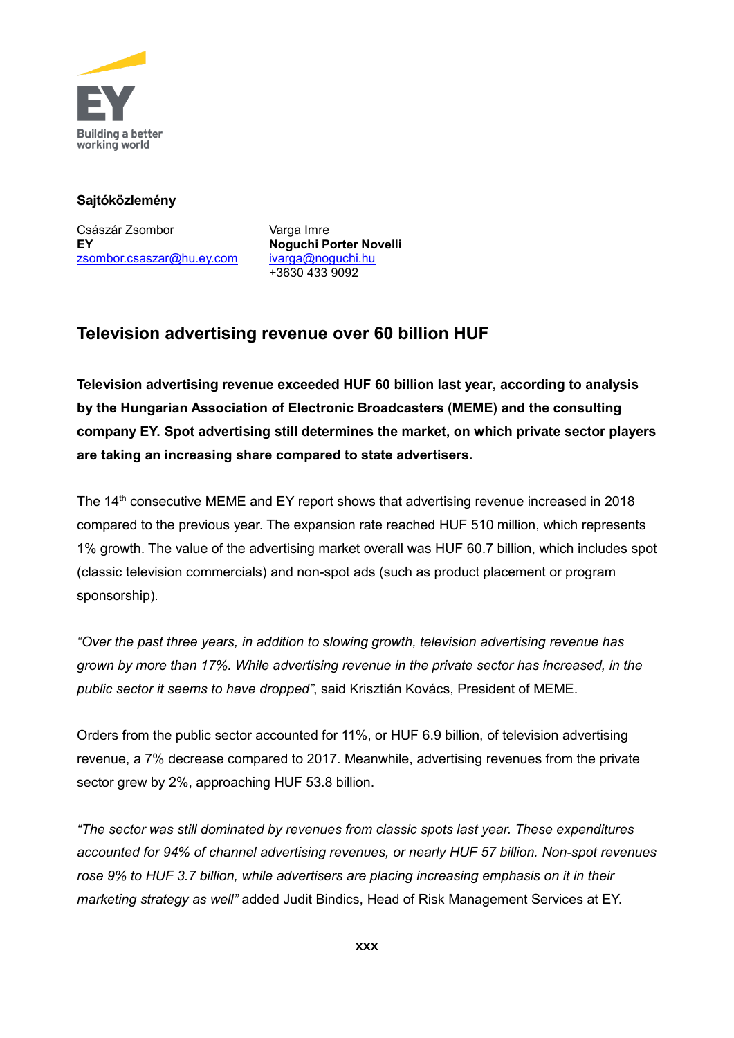

# **Sajtóközlemény**

Császár Zsombor Varga Imre **EY Noguchi Porter Novelli** [zsombor.csaszar@hu.ey.com](mailto:zsombor.csaszar@hu.ey.com) [ivarga@noguchi.hu](mailto:ivarga@noguchi.hu)

+3630 433 9092

# **Television advertising revenue over 60 billion HUF**

**Television advertising revenue exceeded HUF 60 billion last year, according to analysis by the Hungarian Association of Electronic Broadcasters (MEME) and the consulting company EY. Spot advertising still determines the market, on which private sector players are taking an increasing share compared to state advertisers.**

The  $14<sup>th</sup>$  consecutive MEME and EY report shows that advertising revenue increased in 2018 compared to the previous year. The expansion rate reached HUF 510 million, which represents 1% growth. The value of the advertising market overall was HUF 60.7 billion, which includes spot (classic television commercials) and non-spot ads (such as product placement or program sponsorship).

*"Over the past three years, in addition to slowing growth, television advertising revenue has grown by more than 17%. While advertising revenue in the private sector has increased, in the public sector it seems to have dropped"*, said Krisztián Kovács, President of MEME.

Orders from the public sector accounted for 11%, or HUF 6.9 billion, of television advertising revenue, a 7% decrease compared to 2017. Meanwhile, advertising revenues from the private sector grew by 2%, approaching HUF 53.8 billion.

*"The sector was still dominated by revenues from classic spots last year. These expenditures accounted for 94% of channel advertising revenues, or nearly HUF 57 billion. Non-spot revenues rose 9% to HUF 3.7 billion, while advertisers are placing increasing emphasis on it in their marketing strategy as well"* added Judit Bindics, Head of Risk Management Services at EY.